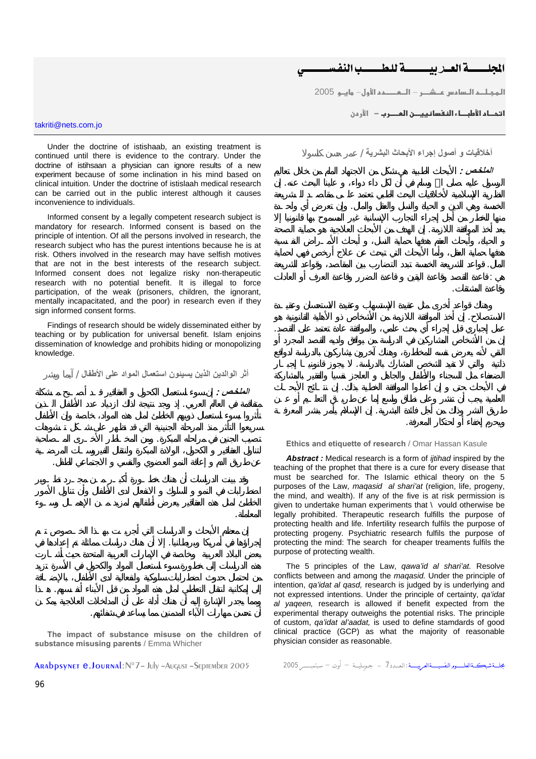المحلسسية العبار للمستسبب النفس

<mark>المجـلــم الــسامس عـــشــــر — الـــمــــــمم الأول— مايــو 2005</mark>

الرسول عليه صلى االله وسلم في أن لكل داء دواء، علينا البحث عنه. إن

الخمسة وهي الدين الحياة والنسل والعقل والمال. وإن تعرض أي واحـدة

بعد أخذ الموافقة اللازمة. إن الهدف من الأبحاث العلاجية هو حماية الصحة

المال. قواعد الشريعة الخمسة تبدد التضارب بين المقاصد، وقواعد الشريعة هي ׃ قاعدة القصد وقاعدة اليقين قاعدة الضرر وقاعدة العرف أو العادات

الاستصلاح. إن أخذ الموافقة اللازمة من الأشخاص ذو الأهلية القانونية هو عمل إجباري قبل إجراء أي بحث علمي، والموافقة عادة تعتمد على القصد.

ذاتية والتي تفيد الشخص المشارك بالدراسة. يجوز قانونيـا إجبـار

في الأبحاث حتى إن أعطوا الموافقة الخطية بذلك. إن نتـائج الأبحـاث

طريق النشر وذلك من أجل فائدة البشرية. إن الإسلام يأمر بنشر المعرفـة

<mark>ا تحـاء الأطبــاء النفسانييــن العـــر ب</mark> − الأر من

takriti@nets.com.jo

Under the doctrine of istishaab, an existing treatment is continued until there is evidence to the contrary. Under the doctrine of istihsaan a physician can ignore results of a new experiment because of some inclination in his mind based on clinical intuition. Under the doctrine of istislaah medical research can be carried out in the public interest although it causes inconvenience to individuals.

Informed consent by a legally competent research subject is mandatory for research. Informed consent is based on the principle of intention. Of all the persons involved in research, the research subject who has the purest intentions because he is at risk. Others involved in the research may have selfish motives that are not in the best interests of the research subject. Informed consent does not legalize risky non-therapeutic research with no potential benefit. It is illegal to force participation, of the weak (prisoners, children, the ignorant, mentally incapacitated, and the poor) in research even if they sign informed consent forms.

Findings of research should be widely disseminated either by teaching or by publication for universal benefit. Islam enjoins dissemination of knowledge and prohibits hiding or monopolizing knowledge.

متفاقمة في العالم العربي. إذ وجد نتيجة لذلك ازدياد عدد الأطفال الـذين

تصيب الجنين في مراحله المبكرة. ومن المخـاطر الأخـرى المـصاحبة

عن طريق الدم إعاقة النمو العضوي والنفسي الاجتماعي للطفل.

**أثر الوالدين الذين يسيئون استعمال المواد على الأطفال** / آيما ويشر

الملخص *:* 

المعاملة.

**The impact of substance misuse on the children of substance misusing parents** / Emma Whicher

أن تحسن مهارات الآباء المدمنين مما يساعد في شفائهم.

إجراؤها في أمريكا وبريطانيا. إلا أن هناك دراسات مماثلة تم إعدادها في أمريكا وبريطانيا. إلا أن هذا المماثلة تم

إلى إلى إمكانية انتقال التعاطي لمثل هذه المواد من قبل الأبناء أنفـسهم. هـذا هـذا هـذا من قبل الأبناء أنها من ق

بجلــةشبكــةالعلـــووالتفسيـــةالعربيـــة :العــدد 7 – جودليــة – أوت – سبتمبــــر 2005 ARAbpsynet e.Journal:N°7– July –August –September 2005

**أخلاقيات و أصول إجراء الأبحاث البشرية** / عمر حسن كاسولا الملخص *:* 

قاعدة المشتقات.

ويحرم إخفاء أو احتكار المعرفة.

**Ethics and etiquette of research** / Omar Hassan Kasule

*Abstract :* Medical research is a form of *ijtihad* inspired by the teaching of the prophet that there is a cure for every disease that must be searched for. The Islamic ethical theory on the 5 purposes of the Law, *maqasid al shari'at* (religion, life, progeny, the mind, and wealth). If any of the five is at risk permission is given to undertake human experiments that \ vould otherwise be legally prohibited. Therapeutic research fulfills the purpose of protecting health and life. Infertility research fulfils the purpose of protecting progeny. Psychiatric research fulfils the purpose of protecting the mind: The search for cheaper treaments fulfils the purpose of protecting wealth.

The 5 principles of the Law, *qawa'id al shari'at.* Resolve conflicts between and among the *maqasid.* Under the principle of intention, *qa'idat al qasd,* research is judged by is underlying and not expressed intentions. Under the principle of certainty, *qa'idat al yaqeen,* research is allowed if benefit expected from the experimental therapy outweighs the potential risks. The principle of custom, *qa'idat al'aadat,* is used to define stamdards of good clinical practice (GCP) as what the majority of reasonable physician consider as reasonable.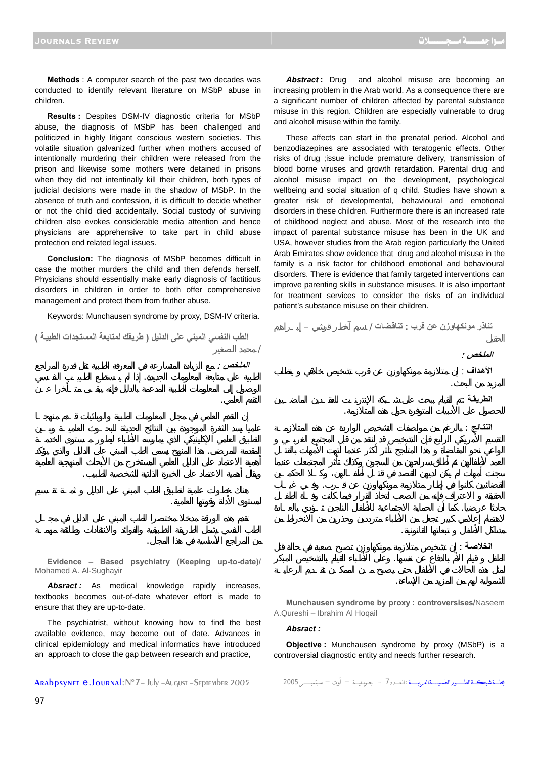**Methods** : A computer search of the past two decades was conducted to identify relevant literature on MSbP abuse in children.

**Results :** Despites DSM-IV diagnostic criteria for MSbP abuse, the diagnosis of MSbP has been challenged and politicized in highly litigant conscious western societies. This volatile situation galvanized further when mothers accused of intentionally murdering their children were released from the prison and likewise some mothers were detained in prisons when they did not intentinally kill their children, both types of judicial decisions were made in the shadow of MSbP. In the absence of truth and confession, it is difficult to decide whether or not the child died accidentally. Social custody of surviving children also evokes considerable media attention and hence physicians are apprehensive to take part in child abuse protection end related legal issues.

**Conclusion:** The diagnosis of MSbP becomes difficult in case the mother murders the child and then defends herself. Physicians should essentially make early diagnosis of factitious disorders in children in order to both offer comprehensive management and protect them from fruther abuse.

Keywords: Munchausen syndrome by proxy, DSM-IV criteria.

الملخص *:* 

لمستوى الأدلة وقوتها العلمية.

من المراجع الأساسية في هذا المجال.

**الطب النفسي المبني على الدليل ( طريقك لمتابعة المستجدات الطبيѧة )** / محمد الصغير

Abstract: Drug and alcohol misuse are becoming an increasing problem in the Arab world. As a consequence there are a significant number of children affected by parental substance misuse in this region. Children are especially vulnerable to drug and alcohol misuse within the family.

These affects can start in the prenatal period. Alcohol and benzodiazepines are associated with teratogenic effects. Other risks of drug ;issue include premature delivery, transmission of blood borne viruses and growth retardation. Parental drug and alcohol misuse impact on the development, psychological wellbeing and social situation of q child. Studies have shown a greater risk of developmental, behavioural and emotional disorders in these children. Furthermore there is an increased rate of childhood neglect and abuse. Most of the research into the impact of parental substance misuse has been in the UK and USA, however studies from the Arab region particularly the United Arab Emirates show evidence that drug and alcohol misuse in the family is a risk factor for childhood emotional and behavioural disorders. There is evidence that family targeted interventions can improve parenting skills in substance misuses. It is also important for treatment services to consider the risks of an individual patient's substance misuse on their children.

الطبية على متابعة المعلومات الجديدة. إذا لم يـستطع الطبيـب النفـسي التقدم العلمي. المقدمة للمرضى. هذا المنهج يسمى الطب المبني على الدليل والذي يؤكد **تناذر مونكهاوزن عن قرب ׃ تناقѧضات** / نسيم آخطر قرشي – إبـراهيم **الملخص : الأهѧداف** ׃ إن متلازمة مونكهاوزن عن قرب تشخيص خلافي يتطلب المزيد من البحث. الطريقة **:** للحصول على الأدبيات المتوفرة حول هذه المتلازمة. النتائج **:** 

الخلاصة <u>:</u>

مشاكل الأطفال تبعاتها القانونية.

الشمولية لهم من المزيد من الإساءة.

**Evidence – Based psychiatry (Keeping up-to-date)/**  Mohamed A. Al-Sughayir

ويقل أهمية الاعتماد على الخبرة الذاتية الشخصية للطبيب.

Absract: As medical knowledge rapidly increases, textbooks becomes out-of-date whatever effort is made to ensure that they are up-to-date.

The psychiatrist, without knowing how to find the best available evidence, may become out of date. Advances in clinical epidemiology and medical informatics have introduced an approach to close the gap between research and practice,

**Munchausen syndrome by proxy : controversises/**Naseem A.Qureshi – Ibrahim Al Hoqail

الطفل قيام الأم بالدفاع عن نفسها. وعلى الأطباء القيام بالتشخيص المبكر

القضائيين كانوا في إطار متلازمة مونكهاوزن عن قـرب. وفـي غيـاب

حادثا عرضيا. كما أن الحماية الاجتماعية للأطفال الناجين تـؤدي بالعـادة

## *Absract :*

**Objective :** Munchausen syndrome by proxy (MSbP) is a controversial diagnostic entity and needs further research.

جلــةشبكــةالعلــــورالتفسيـــةالعربيـــة:العــدد 7 – جويليـة – أوت – سبتمبــــر 2005 ARAbpsynet e.Journal:N°7– July –August –September 2005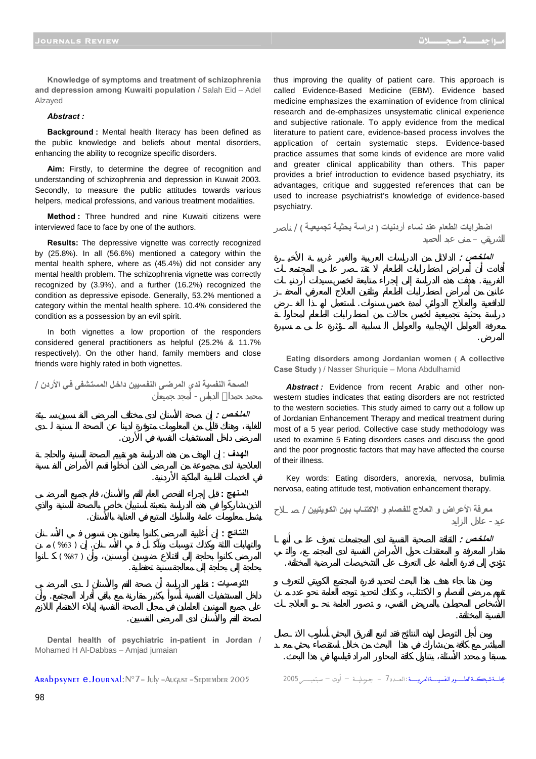الشريقي – منى عبد الحميد

الملخص *:* 

المرض.

**Knowledge of symptoms and treatment of schizophrenia and depression among Kuwaiti population** / Salah Eid – Adel Alzayed

## *Abstract :*

**Background :** Mental health literacy has been defined as the public knowledge and beliefs about mental disorders, enhancing the ability to recognize specific disorders.

**Aim:** Firstly, to determine the degree of recognition and understanding of schizophrenia and depression in Kuwait 2003. Secondly, to measure the public attitudes towards various helpers, medical professions, and various treatment modalities.

**Method :** Three hundred and nine Kuwaiti citizens were interviewed face to face by one of the authors.

**Results:** The depressive vignette was correctly recognized by (25.8%). In all (56.6%) mentioned a category within the mental health sphere, where as (45.4%) did not consider any mental health problem. The schizophrenia vignette was correctly recognized by (3.9%), and a further (16.2%) recognized the condition as depressive episode. Generally, 53.2% mentioned a category within the mental health sphere. 10.4% considered the condition as a possession by an evil spirit.

In both vignettes a low proportion of the responders considered general practitioners as helpful (25.2% & 11.7% respectively). On the other hand, family members and close friends were highly rated in both vignettes.

**الصحة النفسية لدى المرضѧى النفѧسيين داخѧل المستѧشفى فѧي الأردن** /

الملخص *:* 

محمد حمداالله الدباس- أمجد جميعان

في الخدمات الطبية الملكية الأردنية.

بحاجة إلى بحاجة إلى معالجة سنية تحفظية.

لصحة الفم والأسنان لدى المرضى النفسيين.

المرضى داخل المستشفيات النفسية في الأردن.

يشمل معلومات عامة والسلوك المتبع في العناية بالأسنان.

**الهѧدف** ׃ إن الهدف من هذه الدراسة هو تقييم الصحة السنية والحاجـة

**المѧنهج ׃** قبل راء الفحص العام للفم والأسنان، قام جميع المرضـى

النتائج **:** إن أغلب المرضى كانوا يعانون من تسوس في الأساسية المرضى كانوا يعانون من تسوس في الأساس في الأساس في والتهابات اللثة وكذلك ترسبات وتآكـل فـي الأسـنان. إن ( %63 ) ـن  $( %87)$ 

ا**لتوصيات :** 

**Dental health of psychiatric in-patient in Jordan /**  Mohamed H Al-Dabbas – Amjad jumaian

داخل المستشفيات النفسية أسوأ بكثير مقارنة مع باقي أفراد المجتمع. وأن

```
بجلــةشبكــةالعلـــووالتفسيـــةالعربيـــة :العــدد 7 – جـويـليــة – أوت – سبتمبــــر 2005 ARAbpsynet e.Journal:N°7– July –August –September 2005
```
thus improving the quality of patient care. This approach is called Evidence-Based Medicine (EBM). Evidence based medicine emphasizes the examination of evidence from clinical research and de-emphasizes unsystematic clinical experience and subjective rationale. To apply evidence from the medical literature to patient care, evidence-based process involves the application of certain systematic steps. Evidence-based practice assumes that some kinds of evidence are more valid and greater clinical applicability than others. This paper provides a brief introduction to evidence based psychiatry, its advantages, critique and suggested references that can be used to increase psychiatrist's knowledge of evidence-based psychiatry.

**اضطرابات الطعام عند نساء أردنيات ( دراسة بحثيѧة تجميعيѧة )** / اصر

الغربية. هدفت هذه الدراسة إلى إجراء متابعة لخمس سيدات أردنيـات

للدافعية والعلاج الدوائي لمدة خمس سنوات. استعمل لهـذا الغـرض

**Eating disorders among Jordanian women ( A collective Case Study )** / Nasser Shuriquie – Mona Abdulhamid

*Abstract :* Evidence from recent Arabic and other nonwestern studies indicates that eating disorders are not restricted to the western societies. This study aimed to carry out a follow up of Jordanian Enhancement Therapy and medical treatment during most of a 5 year period. Collective case study methodology was used to examine 5 Eating disorders cases and discuss the good and the poor prognostic factors that may have affected the course of their illness.

Key words: Eating disorders, anorexia, nervosa, bulimia nervosa, eating attitude test, motivation enhancement therapy.

**معرفة الأعراض و العѧلاج للفѧصام و الاآتئѧاب بѧين الكѧويتيين** / صـلاح

تؤدي إلى قدرة العامة على التعرف على التشخيصات المرضية المختلفة.

عيد- عادل الزايد **الملخѧص :** الثقافة الصحية النف ية لدى المجتمعات تعرف علـى أنهـا

النفسية المختلفة.

مسبقا محدد الأسئلة، يتناول كافة المحاور المراد قياسها في هذا البحث.